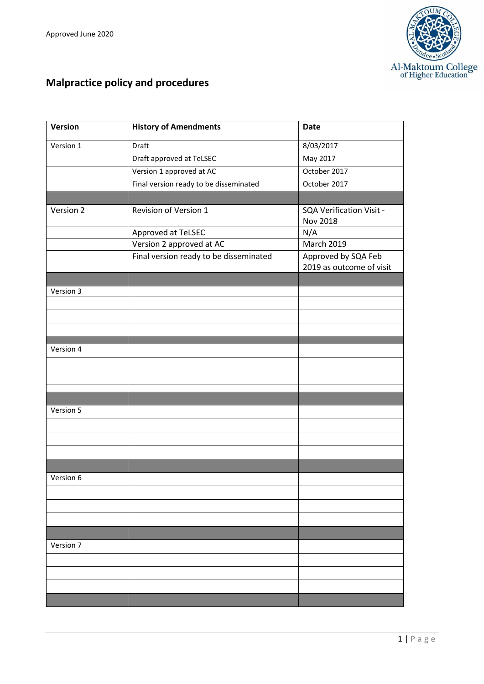

# **Malpractice policy and procedures**

| Version   | <b>History of Amendments</b>           | <b>Date</b>                                     |
|-----------|----------------------------------------|-------------------------------------------------|
| Version 1 | Draft                                  | 8/03/2017                                       |
|           | Draft approved at TeLSEC               | May 2017                                        |
|           | Version 1 approved at AC               | October 2017                                    |
|           | Final version ready to be disseminated | October 2017                                    |
|           |                                        |                                                 |
| Version 2 | Revision of Version 1                  | SQA Verification Visit -<br><b>Nov 2018</b>     |
|           | Approved at TeLSEC                     | N/A                                             |
|           | Version 2 approved at AC               | March 2019                                      |
|           | Final version ready to be disseminated | Approved by SQA Feb<br>2019 as outcome of visit |
|           |                                        |                                                 |
| Version 3 |                                        |                                                 |
|           |                                        |                                                 |
|           |                                        |                                                 |
|           |                                        |                                                 |
| Version 4 |                                        |                                                 |
|           |                                        |                                                 |
|           |                                        |                                                 |
|           |                                        |                                                 |
| Version 5 |                                        |                                                 |
|           |                                        |                                                 |
|           |                                        |                                                 |
|           |                                        |                                                 |
|           |                                        |                                                 |
| Version 6 |                                        |                                                 |
|           |                                        |                                                 |
|           |                                        |                                                 |
|           |                                        |                                                 |
|           |                                        |                                                 |
| Version 7 |                                        |                                                 |
|           |                                        |                                                 |
|           |                                        |                                                 |
|           |                                        |                                                 |
|           |                                        |                                                 |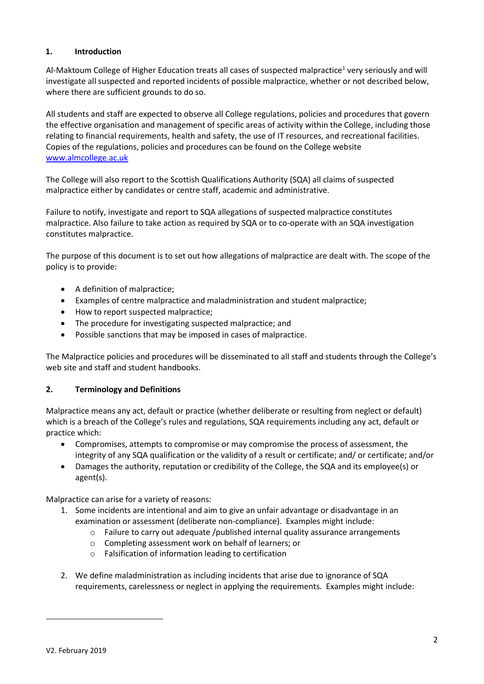# **1. Introduction**

Al-Maktoum College of Higher Education treats all cases of suspected malpractice<sup>1</sup> very seriously and will investigate all suspected and reported incidents of possible malpractice, whether or not described below, where there are sufficient grounds to do so.

All students and staff are expected to observe all College regulations, policies and procedures that govern the effective organisation and management of specific areas of activity within the College, including those relating to financial requirements, health and safety, the use of IT resources, and recreational facilities. Copies of the regulations, policies and procedures can be found on the College website [www.almcollege.ac.uk](http://www.almcollege.ac.uk/)

The College will also report to the Scottish Qualifications Authority (SQA) all claims of suspected malpractice either by candidates or centre staff, academic and administrative.

Failure to notify, investigate and report to SQA allegations of suspected malpractice constitutes malpractice. Also failure to take action as required by SQA or to co-operate with an SQA investigation constitutes malpractice.

The purpose of this document is to set out how allegations of malpractice are dealt with. The scope of the policy is to provide:

- A definition of malpractice;
- Examples of centre malpractice and maladministration and student malpractice;
- How to report suspected malpractice;
- The procedure for investigating suspected malpractice; and
- Possible sanctions that may be imposed in cases of malpractice.

The Malpractice policies and procedures will be disseminated to all staff and students through the College's web site and staff and student handbooks.

#### **2. Terminology and Definitions**

Malpractice means any act, default or practice (whether deliberate or resulting from neglect or default) which is a breach of the College's rules and regulations, SQA requirements including any act, default or practice which:

- Compromises, attempts to compromise or may compromise the process of assessment, the integrity of any SQA qualification or the validity of a result or certificate; and/ or certificate; and/or
- Damages the authority, reputation or credibility of the College, the SQA and its employee(s) or agent(s).

Malpractice can arise for a variety of reasons:

- 1. Some incidents are intentional and aim to give an unfair advantage or disadvantage in an examination or assessment (deliberate non-compliance). Examples might include:
	- o Failure to carry out adequate /published internal quality assurance arrangements
	- o Completing assessment work on behalf of learners; or
	- o Falsification of information leading to certification
- 2. We define maladministration as including incidents that arise due to ignorance of SQA requirements, carelessness or neglect in applying the requirements. Examples might include: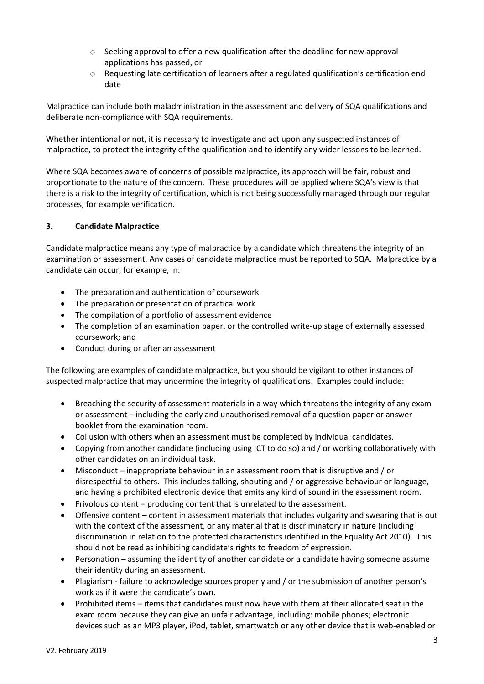- $\circ$  Seeking approval to offer a new qualification after the deadline for new approval applications has passed, or
- $\circ$  Requesting late certification of learners after a regulated qualification's certification end date

Malpractice can include both maladministration in the assessment and delivery of SQA qualifications and deliberate non-compliance with SQA requirements.

Whether intentional or not, it is necessary to investigate and act upon any suspected instances of malpractice, to protect the integrity of the qualification and to identify any wider lessons to be learned.

Where SQA becomes aware of concerns of possible malpractice, its approach will be fair, robust and proportionate to the nature of the concern. These procedures will be applied where SQA's view is that there is a risk to the integrity of certification, which is not being successfully managed through our regular processes, for example verification.

## **3. Candidate Malpractice**

Candidate malpractice means any type of malpractice by a candidate which threatens the integrity of an examination or assessment. Any cases of candidate malpractice must be reported to SQA. Malpractice by a candidate can occur, for example, in:

- The preparation and authentication of coursework
- The preparation or presentation of practical work
- The compilation of a portfolio of assessment evidence
- The completion of an examination paper, or the controlled write-up stage of externally assessed coursework; and
- Conduct during or after an assessment

The following are examples of candidate malpractice, but you should be vigilant to other instances of suspected malpractice that may undermine the integrity of qualifications. Examples could include:

- Breaching the security of assessment materials in a way which threatens the integrity of any exam or assessment – including the early and unauthorised removal of a question paper or answer booklet from the examination room.
- Collusion with others when an assessment must be completed by individual candidates.
- Copying from another candidate (including using ICT to do so) and / or working collaboratively with other candidates on an individual task.
- Misconduct inappropriate behaviour in an assessment room that is disruptive and / or disrespectful to others. This includes talking, shouting and / or aggressive behaviour or language, and having a prohibited electronic device that emits any kind of sound in the assessment room.
- Frivolous content producing content that is unrelated to the assessment.
- Offensive content content in assessment materials that includes vulgarity and swearing that is out with the context of the assessment, or any material that is discriminatory in nature (including discrimination in relation to the protected characteristics identified in the Equality Act 2010). This should not be read as inhibiting candidate's rights to freedom of expression.
- Personation assuming the identity of another candidate or a candidate having someone assume their identity during an assessment.
- Plagiarism failure to acknowledge sources properly and / or the submission of another person's work as if it were the candidate's own.
- Prohibited items items that candidates must now have with them at their allocated seat in the exam room because they can give an unfair advantage, including: mobile phones; electronic devices such as an MP3 player, iPod, tablet, smartwatch or any other device that is web-enabled or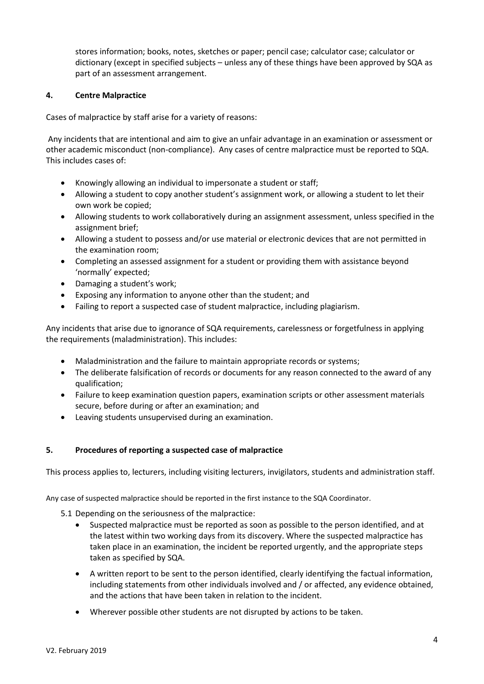stores information; books, notes, sketches or paper; pencil case; calculator case; calculator or dictionary (except in specified subjects – unless any of these things have been approved by SQA as part of an assessment arrangement.

# **4. Centre Malpractice**

Cases of malpractice by staff arise for a variety of reasons:

Any incidents that are intentional and aim to give an unfair advantage in an examination or assessment or other academic misconduct (non-compliance). Any cases of centre malpractice must be reported to SQA. This includes cases of:

- Knowingly allowing an individual to impersonate a student or staff;
- Allowing a student to copy another student's assignment work, or allowing a student to let their own work be copied;
- Allowing students to work collaboratively during an assignment assessment, unless specified in the assignment brief;
- Allowing a student to possess and/or use material or electronic devices that are not permitted in the examination room;
- Completing an assessed assignment for a student or providing them with assistance beyond 'normally' expected;
- Damaging a student's work;
- Exposing any information to anyone other than the student; and
- Failing to report a suspected case of student malpractice, including plagiarism.

Any incidents that arise due to ignorance of SQA requirements, carelessness or forgetfulness in applying the requirements (maladministration). This includes:

- Maladministration and the failure to maintain appropriate records or systems;
- The deliberate falsification of records or documents for any reason connected to the award of any qualification;
- Failure to keep examination question papers, examination scripts or other assessment materials secure, before during or after an examination; and
- Leaving students unsupervised during an examination.

#### **5. Procedures of reporting a suspected case of malpractice**

This process applies to, lecturers, including visiting lecturers, invigilators, students and administration staff.

Any case of suspected malpractice should be reported in the first instance to the SQA Coordinator.

- 5.1 Depending on the seriousness of the malpractice:
	- Suspected malpractice must be reported as soon as possible to the person identified, and at the latest within two working days from its discovery. Where the suspected malpractice has taken place in an examination, the incident be reported urgently, and the appropriate steps taken as specified by SQA.
	- A written report to be sent to the person identified, clearly identifying the factual information, including statements from other individuals involved and / or affected, any evidence obtained, and the actions that have been taken in relation to the incident.
	- Wherever possible other students are not disrupted by actions to be taken.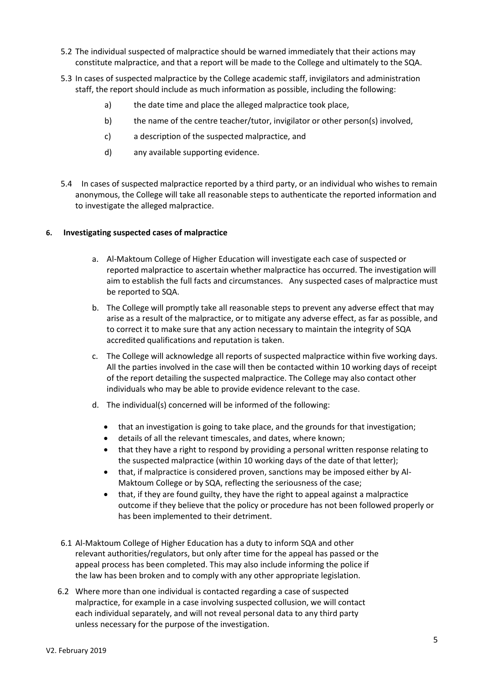- 5.2 The individual suspected of malpractice should be warned immediately that their actions may constitute malpractice, and that a report will be made to the College and ultimately to the SQA.
- 5.3 In cases of suspected malpractice by the College academic staff, invigilators and administration staff, the report should include as much information as possible, including the following:
	- a) the date time and place the alleged malpractice took place,
	- b) the name of the centre teacher/tutor, invigilator or other person(s) involved,
	- c) a description of the suspected malpractice, and
	- d) any available supporting evidence.
- 5.4 In cases of suspected malpractice reported by a third party, or an individual who wishes to remain anonymous, the College will take all reasonable steps to authenticate the reported information and to investigate the alleged malpractice.

#### **6. Investigating suspected cases of malpractice**

- a. Al-Maktoum College of Higher Education will investigate each case of suspected or reported malpractice to ascertain whether malpractice has occurred. The investigation will aim to establish the full facts and circumstances. Any suspected cases of malpractice must be reported to SQA.
- b. The College will promptly take all reasonable steps to prevent any adverse effect that may arise as a result of the malpractice, or to mitigate any adverse effect, as far as possible, and to correct it to make sure that any action necessary to maintain the integrity of SQA accredited qualifications and reputation is taken.
- c. The College will acknowledge all reports of suspected malpractice within five working days. All the parties involved in the case will then be contacted within 10 working days of receipt of the report detailing the suspected malpractice. The College may also contact other individuals who may be able to provide evidence relevant to the case.
- d. The individual(s) concerned will be informed of the following:
	- that an investigation is going to take place, and the grounds for that investigation;
	- details of all the relevant timescales, and dates, where known;
	- that they have a right to respond by providing a personal written response relating to the suspected malpractice (within 10 working days of the date of that letter);
	- that, if malpractice is considered proven, sanctions may be imposed either by Al-Maktoum College or by SQA, reflecting the seriousness of the case;
	- that, if they are found guilty, they have the right to appeal against a malpractice outcome if they believe that the policy or procedure has not been followed properly or has been implemented to their detriment.
- 6.1 Al-Maktoum College of Higher Education has a duty to inform SQA and other relevant authorities/regulators, but only after time for the appeal has passed or the appeal process has been completed. This may also include informing the police if the law has been broken and to comply with any other appropriate legislation.
- 6.2 Where more than one individual is contacted regarding a case of suspected malpractice, for example in a case involving suspected collusion, we will contact each individual separately, and will not reveal personal data to any third party unless necessary for the purpose of the investigation.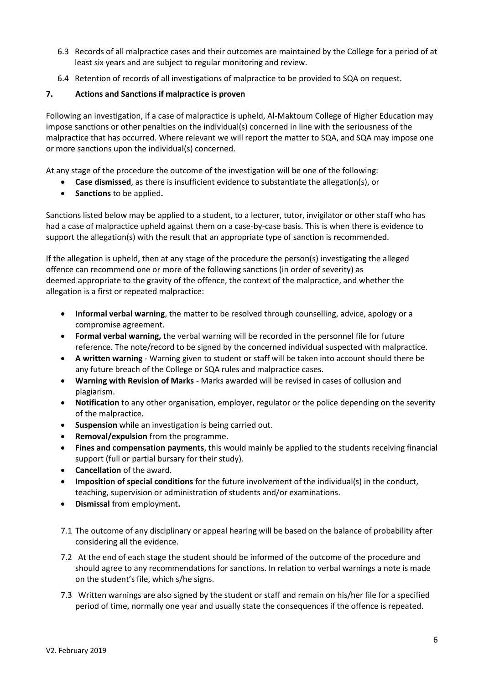- 6.3 Records of all malpractice cases and their outcomes are maintained by the College for a period of at least six years and are subject to regular monitoring and review.
- 6.4 Retention of records of all investigations of malpractice to be provided to SQA on request.

# **7. Actions and Sanctions if malpractice is proven**

Following an investigation, if a case of malpractice is upheld, Al-Maktoum College of Higher Education may impose sanctions or other penalties on the individual(s) concerned in line with the seriousness of the malpractice that has occurred. Where relevant we will report the matter to SQA, and SQA may impose one or more sanctions upon the individual(s) concerned.

At any stage of the procedure the outcome of the investigation will be one of the following:

- **Case dismissed**, as there is insufficient evidence to substantiate the allegation(s), or
- **Sanctions** to be applied**.**

Sanctions listed below may be applied to a student, to a lecturer, tutor, invigilator or other staff who has had a case of malpractice upheld against them on a case-by-case basis. This is when there is evidence to support the allegation(s) with the result that an appropriate type of sanction is recommended.

If the allegation is upheld, then at any stage of the procedure the person(s) investigating the alleged offence can recommend one or more of the following sanctions (in order of severity) as deemed appropriate to the gravity of the offence, the context of the malpractice, and whether the allegation is a first or repeated malpractice:

- **Informal verbal warning**, the matter to be resolved through counselling, advice, apology or a compromise agreement.
- **Formal verbal warning,** the verbal warning will be recorded in the personnel file for future reference. The note/record to be signed by the concerned individual suspected with malpractice.
- **A written warning** Warning given to student or staff will be taken into account should there be any future breach of the College or SQA rules and malpractice cases.
- **Warning with Revision of Marks**  Marks awarded will be revised in cases of collusion and plagiarism.
- **Notification** to any other organisation, employer, regulator or the police depending on the severity of the malpractice.
- **Suspension** while an investigation is being carried out.
- **Removal/expulsion** from the programme.
- **Fines and compensation payments**, this would mainly be applied to the students receiving financial support (full or partial bursary for their study).
- **Cancellation** of the award.
- **Imposition of special conditions** for the future involvement of the individual(s) in the conduct, teaching, supervision or administration of students and/or examinations.
- **Dismissal** from employment**.**
- 7.1 The outcome of any disciplinary or appeal hearing will be based on the balance of probability after considering all the evidence.
- 7.2 At the end of each stage the student should be informed of the outcome of the procedure and should agree to any recommendations for sanctions. In relation to verbal warnings a note is made on the student's file, which s/he signs.
- 7.3 Written warnings are also signed by the student or staff and remain on his/her file for a specified period of time, normally one year and usually state the consequences if the offence is repeated.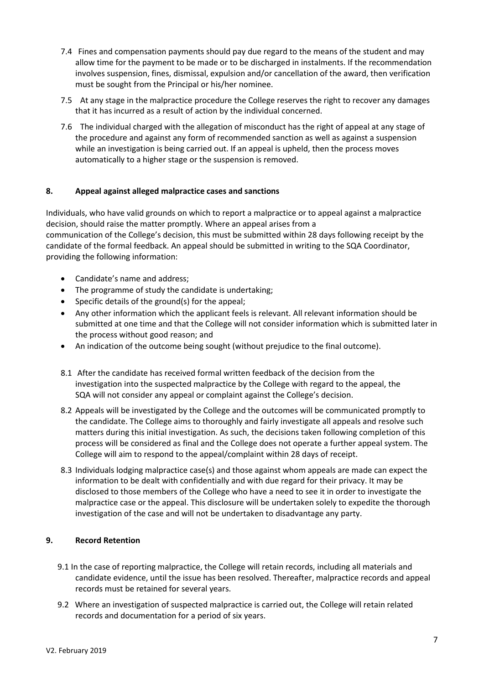- 7.4 Fines and compensation payments should pay due regard to the means of the student and may allow time for the payment to be made or to be discharged in instalments. If the recommendation involves suspension, fines, dismissal, expulsion and/or cancellation of the award, then verification must be sought from the Principal or his/her nominee.
- 7.5 At any stage in the malpractice procedure the College reserves the right to recover any damages that it has incurred as a result of action by the individual concerned.
- 7.6 The individual charged with the allegation of misconduct has the right of appeal at any stage of the procedure and against any form of recommended sanction as well as against a suspension while an investigation is being carried out. If an appeal is upheld, then the process moves automatically to a higher stage or the suspension is removed.

## **8. Appeal against alleged malpractice cases and sanctions**

Individuals, who have valid grounds on which to report a malpractice or to appeal against a malpractice decision, should raise the matter promptly. Where an appeal arises from a communication of the College's decision, this must be submitted within 28 days following receipt by the candidate of the formal feedback. An appeal should be submitted in writing to the SQA Coordinator, providing the following information:

- Candidate's name and address;
- The programme of study the candidate is undertaking;
- Specific details of the ground(s) for the appeal;
- Any other information which the applicant feels is relevant. All relevant information should be submitted at one time and that the College will not consider information which is submitted later in the process without good reason; and
- An indication of the outcome being sought (without prejudice to the final outcome).
- 8.1 After the candidate has received formal written feedback of the decision from the investigation into the suspected malpractice by the College with regard to the appeal, the SQA will not consider any appeal or complaint against the College's decision.
- 8.2 Appeals will be investigated by the College and the outcomes will be communicated promptly to the candidate. The College aims to thoroughly and fairly investigate all appeals and resolve such matters during this initial investigation. As such, the decisions taken following completion of this process will be considered as final and the College does not operate a further appeal system. The College will aim to respond to the appeal/complaint within 28 days of receipt.
- 8.3 Individuals lodging malpractice case(s) and those against whom appeals are made can expect the information to be dealt with confidentially and with due regard for their privacy. It may be disclosed to those members of the College who have a need to see it in order to investigate the malpractice case or the appeal. This disclosure will be undertaken solely to expedite the thorough investigation of the case and will not be undertaken to disadvantage any party.

# **9. Record Retention**

- 9.1 In the case of reporting malpractice, the College will retain records, including all materials and candidate evidence, until the issue has been resolved. Thereafter, malpractice records and appeal records must be retained for several years.
- 9.2 Where an investigation of suspected malpractice is carried out, the College will retain related records and documentation for a period of six years.